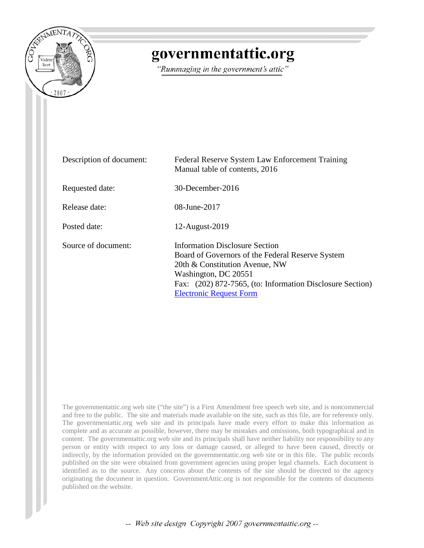

# governmentattic.org

"Rummaging in the government's attic"

| Description of document: | Federal Reserve System Law Enforcement Training<br>Manual table of contents, 2016                                                                                                                                                           |
|--------------------------|---------------------------------------------------------------------------------------------------------------------------------------------------------------------------------------------------------------------------------------------|
| Requested date:          | 30-December-2016                                                                                                                                                                                                                            |
| Release date:            | 08-June-2017                                                                                                                                                                                                                                |
| Posted date:             | 12-August-2019                                                                                                                                                                                                                              |
| Source of document:      | Information Disclosure Section<br>Board of Governors of the Federal Reserve System<br>20th & Constitution Avenue, NW<br>Washington, DC 20551<br>Fax: (202) 872-7565, (to: Information Disclosure Section)<br><b>Electronic Request Form</b> |

The governmentattic.org web site ("the site") is a First Amendment free speech web site, and is noncommercial and free to the public. The site and materials made available on the site, such as this file, are for reference only. The governmentattic.org web site and its principals have made every effort to make this information as complete and as accurate as possible, however, there may be mistakes and omissions, both typographical and in content. The governmentattic.org web site and its principals shall have neither liability nor responsibility to any person or entity with respect to any loss or damage caused, or alleged to have been caused, directly or indirectly, by the information provided on the governmentattic.org web site or in this file. The public records published on the site were obtained from government agencies using proper legal channels. Each document is identified as to the source. Any concerns about the contents of the site should be directed to the agency originating the document in question. GovernmentAttic.org is not responsible for the contents of documents published on the website.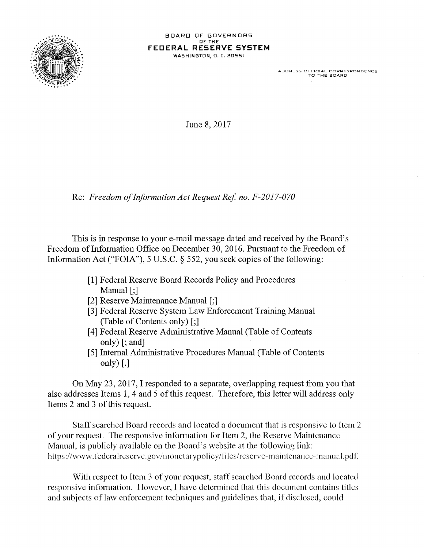

ADDRESS OFFICIAL CORRESPONDENCE TO THE BOARD

June 8, 2017

Re: *Freedom of Information Act Request Ref no. F-2017-070* 

This is in response to your e-mail message dated and received by the Board's Freedom of Information Office on December 30, 2016. Pursuant to the Freedom of Information Act ("FOIA"), 5 U.S.C. § 552, you seek copies of the following:

- [1] Federal Reserve Board Records Policy and Procedures Manual [;]
- [2] Reserve Maintenance Manual [;]
- [3] Federal Reserve System Law Enforcement Training Manual (Table of Contents only)[;]
- [4] Federal Reserve Administrative Manual (Table of Contents only) [; and]
- [5] Internal Administrative Procedures Manual (Table of Contents only)  $\lceil . \rceil$

On May 23, 2017, I responded to a separate, overlapping request from you that also addresses Items 1, 4 and 5 of this request. Therefore, this letter will address only Items 2 and 3 of this request.

Staff searched Board records and located a document that is responsive to Item 2 of your request. The responsive infonnation for Item 2, the Reserve Maintenance Manual, is publicly available on the Board's website at the following link: https://www.federalreserve.gov/monetarypolicy/files/reserve-maintenance-manual.pdf.

With respect to Item 3 of your request, staff searched Board records and located responsive information. However, I have determined that this document contains titles and subjects of law enforcement techniques and guidelines that, if disclosed, could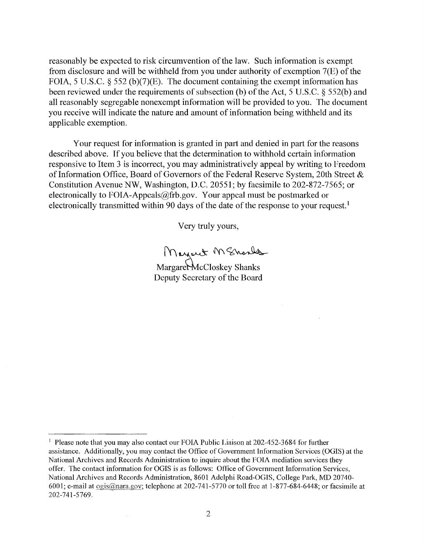reasonably be expected to risk circumvention of the law. Such information is exempt from disclosure and will be withheld from you under authority of exemption 7(E) of the FOIA, 5 U.S.C. § 552 (b)(7)(E). The document containing the exempt information has been reviewed under the requirements of subsection (b) of the Act, 5 U.S.C. § 552(b) and all reasonably segregable nonexempt information will be provided to you. The document you receive will indicate the nature and amount of information being withheld and its applicable exemption.

Your request for information is granted in part and denied in part for the reasons described above. If you believe that the determination to withhold certain information responsive to Item 3 is incorrect, you may administratively appeal by writing to Freedom of Information Office, Board of Governors of the Federal Reserve System, 20th Street & Constitution Avenue NW, Washington, D.C. 20551; by facsimile to 202-872-7565; or electronically to FOIA-Appeals@frb.gov. Your appeal must be postmarked or electronically transmitted within 90 days of the date of the response to your request.<sup>1</sup>

Very truly yours,

Mayork M Shoulds

Margaret McCloskey Shanks Deputy Secretary of the Board

<sup>&</sup>lt;sup>1</sup> Please note that you may also contact our FOIA Public Liaison at 202-452-3684 for further assistance. Additionally, you may contact the Office of Government Information Services (OGIS) at the National Archives and Records Administration to inquire about the FOIA mediation services they offer. The contact information for OGIS is as follows: Office of Government Information Services, National Archives and Records Administration, 8601 Adelphi Road-OGIS, College Park, MD 20740- 6001; e-mail at  $\underline{\text{ogis@nara.gov}}$ ; telephone at 202-741-5770 or toll free at 1-877-684-6448; or facsimile at 202-741-5769.